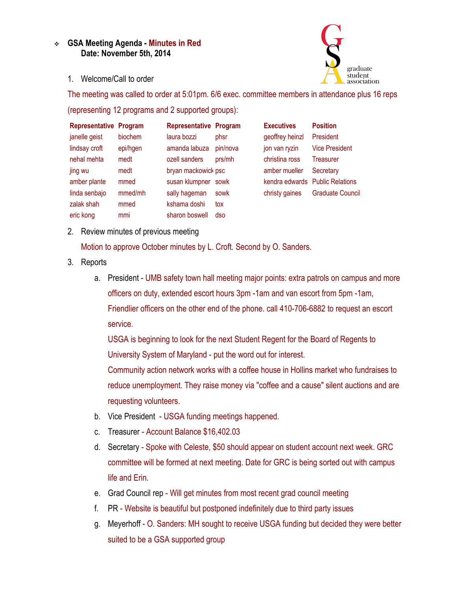## **GSA Meeting Agenda - Minutes in Red Date: November 5th, 2014**



1. Welcome/Call to order

The meeting was called to order at 5:01pm. 6/6 exec. committee members in attendance plus 16 reps (representing 12 programs and 2 supported groups):

| <b>Representative Program</b> |          | <b>Representative Program</b> |          | <b>Executives</b> | <b>Position</b>                 |
|-------------------------------|----------|-------------------------------|----------|-------------------|---------------------------------|
| janelle geist                 | biochem  | laura bozzi                   | phsr     | geoffrey heinzl   | President                       |
| lindsay croft                 | epi/hgen | amanda labuza                 | pin/nova | jon van ryzin     | <b>Vice President</b>           |
| nehal mehta                   | medt     | ozell sanders                 | prs/mh   | christina ross    | <b>Treasurer</b>                |
| jing wu                       | medt     | bryan mackowick psc           |          | amber mueller     | Secretary                       |
| amber plante                  | mmed     | susan klumpner sowk           |          |                   | kendra edwards Public Relations |
| linda senbajo                 | mmed/mh  | sally hageman                 | sowk     | christy gaines    | Graduate Council                |
| zalak shah                    | mmed     | kshama doshi                  | tox      |                   |                                 |
| eric kong                     | mmi      | sharon boswell                | dso      |                   |                                 |

2. Review minutes of previous meeting

Motion to approve October minutes by L. Croft. Second by O. Sanders.

- 3. Reports
	- a. President UMB safety town hall meeting major points: extra patrols on campus and more officers on duty, extended escort hours 3pm -1am and van escort from 5pm -1am, Friendlier officers on the other end of the phone. call 410-706-6882 to request an escort service.

USGA is beginning to look for the next Student Regent for the Board of Regents to University System of Maryland - put the word out for interest.

Community action network works with a coffee house in Hollins market who fundraises to reduce unemployment. They raise money via "coffee and a cause" silent auctions and are requesting volunteers.

- b. Vice President USGA funding meetings happened.
- c. Treasurer Account Balance \$16,402.03
- d. Secretary Spoke with Celeste, \$50 should appear on student account next week. GRC committee will be formed at next meeting. Date for GRC is being sorted out with campus life and Erin.
- e. Grad Council rep Will get minutes from most recent grad council meeting
- f. PR Website is beautiful but postponed indefinitely due to third party issues
- g. Meyerhoff O. Sanders: MH sought to receive USGA funding but decided they were better suited to be a GSA supported group